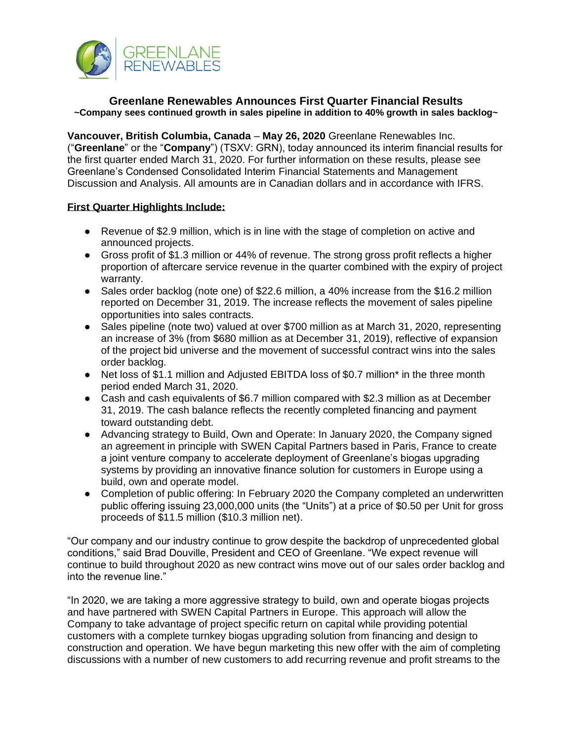

## **Greenlane Renewables Announces First Quarter Financial Results ~Company sees continued growth in sales pipeline in addition to 40% growth in sales backlog~**

**Vancouver, British Columbia, Canada** – **May 26, 2020** Greenlane Renewables Inc. ("**Greenlane**" or the "**Company**") (TSXV: GRN), today announced its interim financial results for the first quarter ended March 31, 2020. For further information on these results, please see Greenlane's Condensed Consolidated Interim Financial Statements and Management Discussion and Analysis. All amounts are in Canadian dollars and in accordance with IFRS.

### **First Quarter Highlights Include:**

- Revenue of \$2.9 million, which is in line with the stage of completion on active and announced projects.
- Gross profit of \$1.3 million or 44% of revenue. The strong gross profit reflects a higher proportion of aftercare service revenue in the quarter combined with the expiry of project warranty.
- Sales order backlog (note one) of \$22.6 million, a 40% increase from the \$16.2 million reported on December 31, 2019. The increase reflects the movement of sales pipeline opportunities into sales contracts.
- Sales pipeline (note two) valued at over \$700 million as at March 31, 2020, representing an increase of 3% (from \$680 million as at December 31, 2019), reflective of expansion of the project bid universe and the movement of successful contract wins into the sales order backlog.
- Net loss of \$1.1 million and Adjusted EBITDA loss of \$0.7 million<sup>\*</sup> in the three month period ended March 31, 2020.
- Cash and cash equivalents of \$6.7 million compared with \$2.3 million as at December 31, 2019. The cash balance reflects the recently completed financing and payment toward outstanding debt.
- Advancing strategy to Build, Own and Operate: In January 2020, the Company signed an agreement in principle with SWEN Capital Partners based in Paris, France to create a joint venture company to accelerate deployment of Greenlane's biogas upgrading systems by providing an innovative finance solution for customers in Europe using a build, own and operate model.
- Completion of public offering: In February 2020 the Company completed an underwritten public offering issuing 23,000,000 units (the "Units") at a price of \$0.50 per Unit for gross proceeds of \$11.5 million (\$10.3 million net).

"Our company and our industry continue to grow despite the backdrop of unprecedented global conditions," said Brad Douville, President and CEO of Greenlane. "We expect revenue will continue to build throughout 2020 as new contract wins move out of our sales order backlog and into the revenue line."

"In 2020, we are taking a more aggressive strategy to build, own and operate biogas projects and have partnered with SWEN Capital Partners in Europe. This approach will allow the Company to take advantage of project specific return on capital while providing potential customers with a complete turnkey biogas upgrading solution from financing and design to construction and operation. We have begun marketing this new offer with the aim of completing discussions with a number of new customers to add recurring revenue and profit streams to the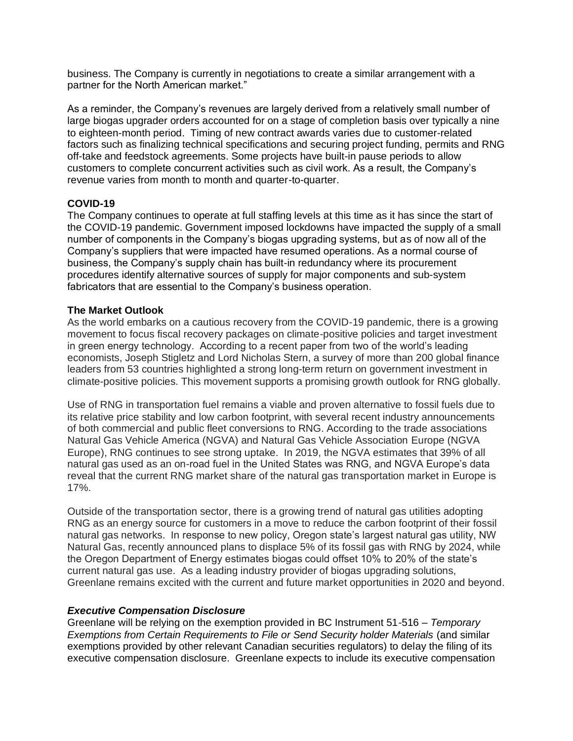business. The Company is currently in negotiations to create a similar arrangement with a partner for the North American market."

As a reminder, the Company's revenues are largely derived from a relatively small number of large biogas upgrader orders accounted for on a stage of completion basis over typically a nine to eighteen-month period. Timing of new contract awards varies due to customer-related factors such as finalizing technical specifications and securing project funding, permits and RNG off-take and feedstock agreements. Some projects have built-in pause periods to allow customers to complete concurrent activities such as civil work. As a result, the Company's revenue varies from month to month and quarter-to-quarter.

### **COVID-19**

The Company continues to operate at full staffing levels at this time as it has since the start of the COVID-19 pandemic. Government imposed lockdowns have impacted the supply of a small number of components in the Company's biogas upgrading systems, but as of now all of the Company's suppliers that were impacted have resumed operations. As a normal course of business, the Company's supply chain has built-in redundancy where its procurement procedures identify alternative sources of supply for major components and sub-system fabricators that are essential to the Company's business operation.

### **The Market Outlook**

As the world embarks on a cautious recovery from the COVID-19 pandemic, there is a growing movement to focus fiscal recovery packages on climate-positive policies and target investment in green energy technology. According to a recent paper from two of the world's leading economists, Joseph Stigletz and Lord Nicholas Stern, a survey of more than 200 global finance leaders from 53 countries highlighted a strong long-term return on government investment in climate-positive policies. This movement supports a promising growth outlook for RNG globally.

Use of RNG in transportation fuel remains a viable and proven alternative to fossil fuels due to its relative price stability and low carbon footprint, with several recent industry announcements of both commercial and public fleet conversions to RNG. According to the trade associations Natural Gas Vehicle America (NGVA) and Natural Gas Vehicle Association Europe (NGVA Europe), RNG continues to see strong uptake. In 2019, the NGVA estimates that 39% of all natural gas used as an on-road fuel in the United States was RNG, and NGVA Europe's data reveal that the current RNG market share of the natural gas transportation market in Europe is 17%.

Outside of the transportation sector, there is a growing trend of natural gas utilities adopting RNG as an energy source for customers in a move to reduce the carbon footprint of their fossil natural gas networks. In response to new policy, Oregon state's largest natural gas utility, NW Natural Gas, recently announced plans to displace 5% of its fossil gas with RNG by 2024, while the Oregon Department of Energy estimates biogas could offset 10% to 20% of the state's current natural gas use. As a leading industry provider of biogas upgrading solutions, Greenlane remains excited with the current and future market opportunities in 2020 and beyond.

### *Executive Compensation Disclosure*

Greenlane will be relying on the exemption provided in BC Instrument 51-516 – *Temporary Exemptions from Certain Requirements to File or Send Security holder Materials* (and similar exemptions provided by other relevant Canadian securities regulators) to delay the filing of its executive compensation disclosure. Greenlane expects to include its executive compensation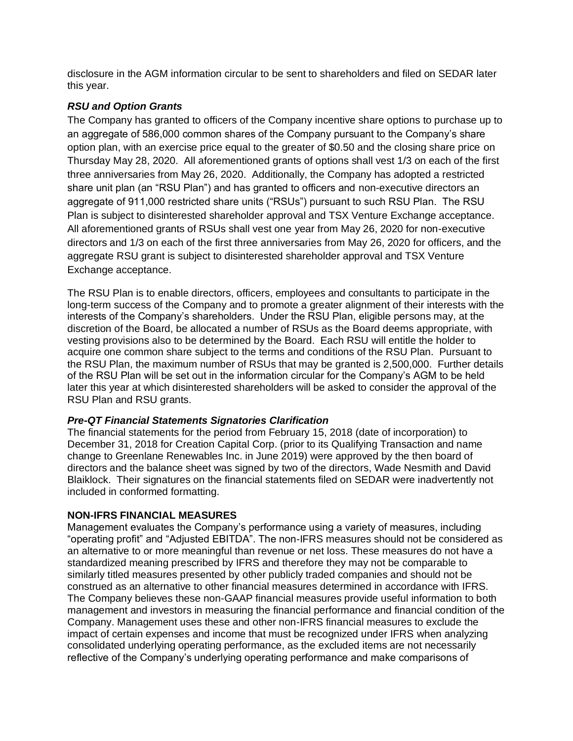disclosure in the AGM information circular to be sent to shareholders and filed on SEDAR later this year.

# *RSU and Option Grants*

The Company has granted to officers of the Company incentive share options to purchase up to an aggregate of 586,000 common shares of the Company pursuant to the Company's share option plan, with an exercise price equal to the greater of \$0.50 and the closing share price on Thursday May 28, 2020. All aforementioned grants of options shall vest 1/3 on each of the first three anniversaries from May 26, 2020. Additionally, the Company has adopted a restricted share unit plan (an "RSU Plan") and has granted to officers and non-executive directors an aggregate of 911,000 restricted share units ("RSUs") pursuant to such RSU Plan. The RSU Plan is subject to disinterested shareholder approval and TSX Venture Exchange acceptance. All aforementioned grants of RSUs shall vest one year from May 26, 2020 for non-executive directors and 1/3 on each of the first three anniversaries from May 26, 2020 for officers, and the aggregate RSU grant is subject to disinterested shareholder approval and TSX Venture Exchange acceptance.

The RSU Plan is to enable directors, officers, employees and consultants to participate in the long-term success of the Company and to promote a greater alignment of their interests with the interests of the Company's shareholders. Under the RSU Plan, eligible persons may, at the discretion of the Board, be allocated a number of RSUs as the Board deems appropriate, with vesting provisions also to be determined by the Board. Each RSU will entitle the holder to acquire one common share subject to the terms and conditions of the RSU Plan. Pursuant to the RSU Plan, the maximum number of RSUs that may be granted is 2,500,000. Further details of the RSU Plan will be set out in the information circular for the Company's AGM to be held later this year at which disinterested shareholders will be asked to consider the approval of the RSU Plan and RSU grants.

## *Pre-QT Financial Statements Signatories Clarification*

The financial statements for the period from February 15, 2018 (date of incorporation) to December 31, 2018 for Creation Capital Corp. (prior to its Qualifying Transaction and name change to Greenlane Renewables Inc. in June 2019) were approved by the then board of directors and the balance sheet was signed by two of the directors, Wade Nesmith and David Blaiklock. Their signatures on the financial statements filed on SEDAR were inadvertently not included in conformed formatting.

## **NON-IFRS FINANCIAL MEASURES**

Management evaluates the Company's performance using a variety of measures, including "operating profit" and "Adjusted EBITDA". The non-IFRS measures should not be considered as an alternative to or more meaningful than revenue or net loss. These measures do not have a standardized meaning prescribed by IFRS and therefore they may not be comparable to similarly titled measures presented by other publicly traded companies and should not be construed as an alternative to other financial measures determined in accordance with IFRS. The Company believes these non-GAAP financial measures provide useful information to both management and investors in measuring the financial performance and financial condition of the Company. Management uses these and other non-IFRS financial measures to exclude the impact of certain expenses and income that must be recognized under IFRS when analyzing consolidated underlying operating performance, as the excluded items are not necessarily reflective of the Company's underlying operating performance and make comparisons of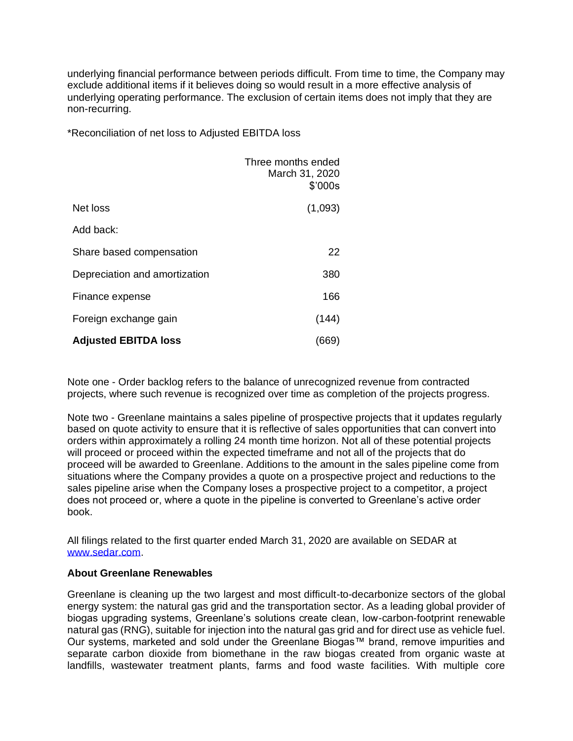underlying financial performance between periods difficult. From time to time, the Company may exclude additional items if it believes doing so would result in a more effective analysis of underlying operating performance. The exclusion of certain items does not imply that they are non-recurring.

\*Reconciliation of net loss to Adjusted EBITDA loss

|                               | Three months ended<br>March 31, 2020<br>\$'000s |
|-------------------------------|-------------------------------------------------|
| Net loss                      | (1,093)                                         |
| Add back:                     |                                                 |
| Share based compensation      | 22                                              |
| Depreciation and amortization | 380                                             |
| Finance expense               | 166                                             |
| Foreign exchange gain         | (144)                                           |
| <b>Adjusted EBITDA loss</b>   | (669)                                           |

Note one - Order backlog refers to the balance of unrecognized revenue from contracted projects, where such revenue is recognized over time as completion of the projects progress.

Note two - Greenlane maintains a sales pipeline of prospective projects that it updates regularly based on quote activity to ensure that it is reflective of sales opportunities that can convert into orders within approximately a rolling 24 month time horizon. Not all of these potential projects will proceed or proceed within the expected timeframe and not all of the projects that do proceed will be awarded to Greenlane. Additions to the amount in the sales pipeline come from situations where the Company provides a quote on a prospective project and reductions to the sales pipeline arise when the Company loses a prospective project to a competitor, a project does not proceed or, where a quote in the pipeline is converted to Greenlane's active order book.

All filings related to the first quarter ended March 31, 2020 are available on SEDAR at [www.sedar.com.](http://www.sedar.com/)

### **About Greenlane Renewables**

Greenlane is cleaning up the two largest and most difficult-to-decarbonize sectors of the global energy system: the natural gas grid and the transportation sector. As a leading global provider of biogas upgrading systems, Greenlane's solutions create clean, low-carbon-footprint renewable natural gas (RNG), suitable for injection into the natural gas grid and for direct use as vehicle fuel. Our systems, marketed and sold under the Greenlane Biogas™ brand, remove impurities and separate carbon dioxide from biomethane in the raw biogas created from organic waste at landfills, wastewater treatment plants, farms and food waste facilities. With multiple core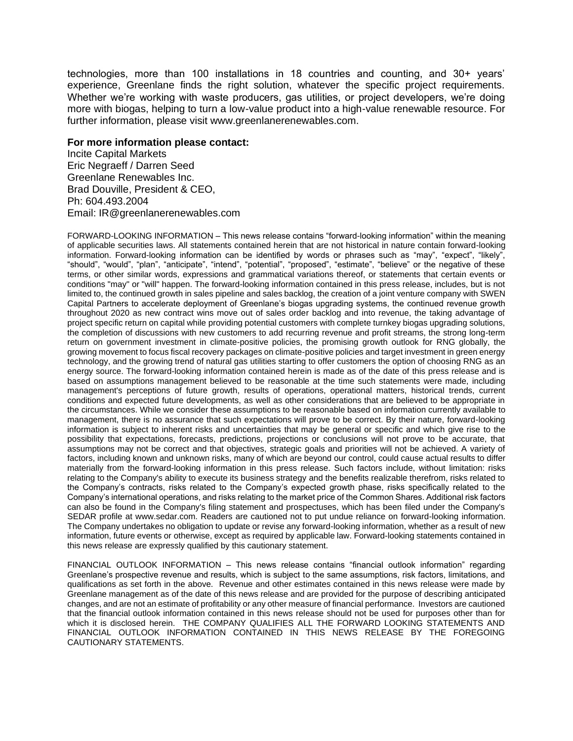technologies, more than 100 installations in 18 countries and counting, and 30+ years' experience, Greenlane finds the right solution, whatever the specific project requirements. Whether we're working with waste producers, gas utilities, or project developers, we're doing more with biogas, helping to turn a low-value product into a high-value renewable resource. For further information, please visit www.greenlanerenewables.com.

#### **For more information please contact:**

Incite Capital Markets Eric Negraeff / Darren Seed Greenlane Renewables Inc. Brad Douville, President & CEO, Ph: 604.493.2004 Email: IR@greenlanerenewables.com

FORWARD-LOOKING INFORMATION – This news release contains "forward-looking information" within the meaning of applicable securities laws. All statements contained herein that are not historical in nature contain forward-looking information. Forward-looking information can be identified by words or phrases such as "may", "expect", "likely", "should", "would", "plan", "anticipate", "intend", "potential", "proposed", "estimate", "believe" or the negative of these terms, or other similar words, expressions and grammatical variations thereof, or statements that certain events or conditions "may" or "will" happen. The forward-looking information contained in this press release, includes, but is not limited to, the continued growth in sales pipeline and sales backlog, the creation of a joint venture company with SWEN Capital Partners to accelerate deployment of Greenlane's biogas upgrading systems, the continued revenue growth throughout 2020 as new contract wins move out of sales order backlog and into revenue, the taking advantage of project specific return on capital while providing potential customers with complete turnkey biogas upgrading solutions, the completion of discussions with new customers to add recurring revenue and profit streams, the strong long-term return on government investment in climate-positive policies, the promising growth outlook for RNG globally, the growing movement to focus fiscal recovery packages on climate-positive policies and target investment in green energy technology, and the growing trend of natural gas utilities starting to offer customers the option of choosing RNG as an energy source. The forward-looking information contained herein is made as of the date of this press release and is based on assumptions management believed to be reasonable at the time such statements were made, including management's perceptions of future growth, results of operations, operational matters, historical trends, current conditions and expected future developments, as well as other considerations that are believed to be appropriate in the circumstances. While we consider these assumptions to be reasonable based on information currently available to management, there is no assurance that such expectations will prove to be correct. By their nature, forward-looking information is subject to inherent risks and uncertainties that may be general or specific and which give rise to the possibility that expectations, forecasts, predictions, projections or conclusions will not prove to be accurate, that assumptions may not be correct and that objectives, strategic goals and priorities will not be achieved. A variety of factors, including known and unknown risks, many of which are beyond our control, could cause actual results to differ materially from the forward-looking information in this press release. Such factors include, without limitation: risks relating to the Company's ability to execute its business strategy and the benefits realizable therefrom, risks related to the Company's contracts, risks related to the Company's expected growth phase, risks specifically related to the Company's international operations, and risks relating to the market price of the Common Shares. Additional risk factors can also be found in the Company's filing statement and prospectuses, which has been filed under the Company's SEDAR profile at www.sedar.com. Readers are cautioned not to put undue reliance on forward-looking information. The Company undertakes no obligation to update or revise any forward-looking information, whether as a result of new information, future events or otherwise, except as required by applicable law. Forward-looking statements contained in this news release are expressly qualified by this cautionary statement.

FINANCIAL OUTLOOK INFORMATION – This news release contains "financial outlook information" regarding Greenlane's prospective revenue and results, which is subject to the same assumptions, risk factors, limitations, and qualifications as set forth in the above. Revenue and other estimates contained in this news release were made by Greenlane management as of the date of this news release and are provided for the purpose of describing anticipated changes, and are not an estimate of profitability or any other measure of financial performance. Investors are cautioned that the financial outlook information contained in this news release should not be used for purposes other than for which it is disclosed herein. THE COMPANY QUALIFIES ALL THE FORWARD LOOKING STATEMENTS AND FINANCIAL OUTLOOK INFORMATION CONTAINED IN THIS NEWS RELEASE BY THE FOREGOING CAUTIONARY STATEMENTS.